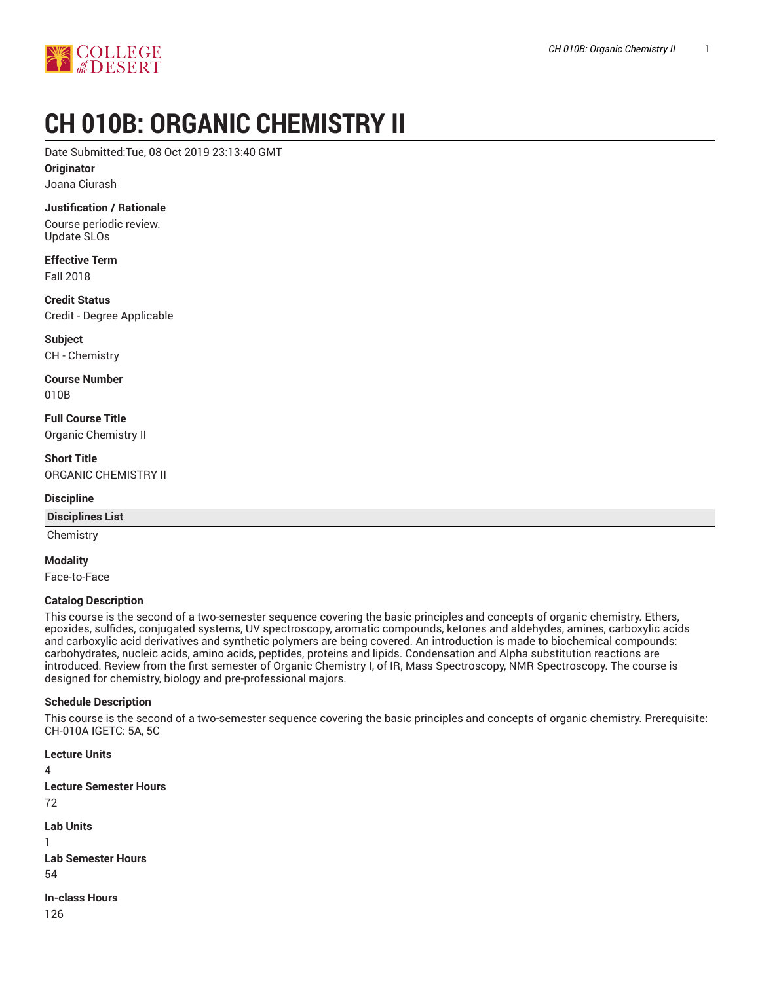

# **CH 010B: ORGANIC CHEMISTRY II**

Date Submitted:Tue, 08 Oct 2019 23:13:40 GMT

**Originator**

Joana Ciurash

### **Justification / Rationale**

Course periodic review. Update SLOs

**Effective Term** Fall 2018

**Credit Status** Credit - Degree Applicable

**Subject** CH - Chemistry

**Course Number** 010B

**Full Course Title** Organic Chemistry II

**Short Title** ORGANIC CHEMISTRY II

### **Discipline**

### **Disciplines List**

**Chemistry** 

#### **Modality**

Face-to-Face

#### **Catalog Description**

This course is the second of a two-semester sequence covering the basic principles and concepts of organic chemistry. Ethers, epoxides, sulfides, conjugated systems, UV spectroscopy, aromatic compounds, ketones and aldehydes, amines, carboxylic acids and carboxylic acid derivatives and synthetic polymers are being covered. An introduction is made to biochemical compounds: carbohydrates, nucleic acids, amino acids, peptides, proteins and lipids. Condensation and Alpha substitution reactions are introduced. Review from the first semester of Organic Chemistry I, of IR, Mass Spectroscopy, NMR Spectroscopy. The course is designed for chemistry, biology and pre-professional majors.

#### **Schedule Description**

This course is the second of a two-semester sequence covering the basic principles and concepts of organic chemistry. Prerequisite: CH-010A IGETC: 5A, 5C

**Lecture Units** 4 **Lecture Semester Hours** 72 **Lab Units** 1 **Lab Semester Hours** 54 **In-class Hours** 126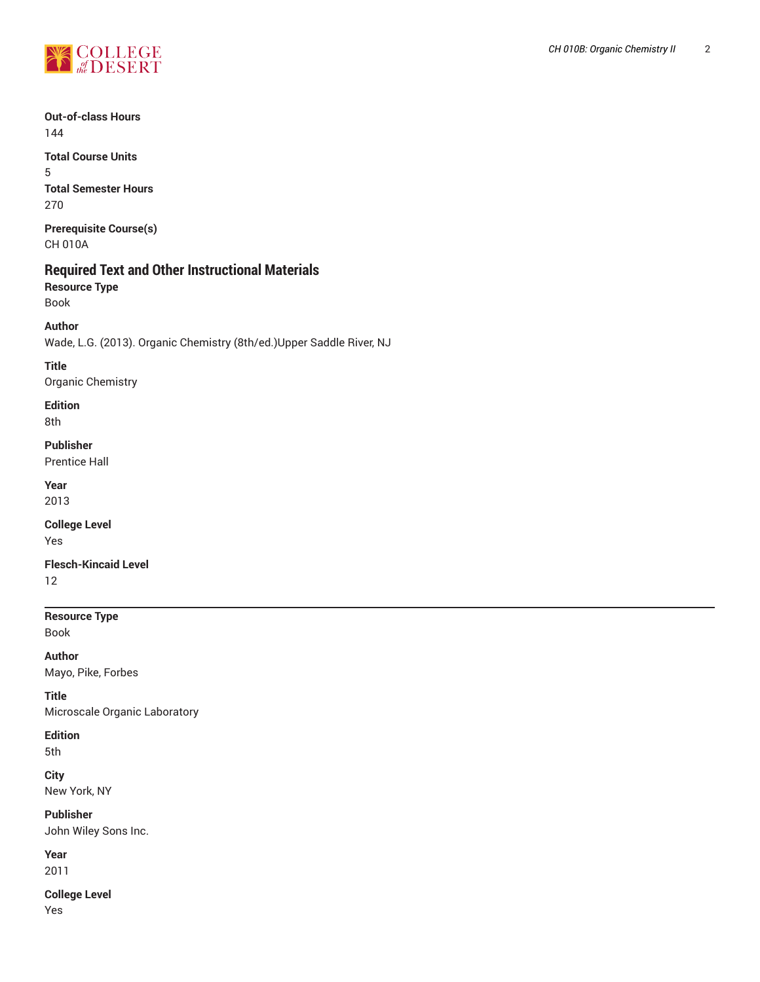

# **Out-of-class Hours** 144

**Total Course Units** 5 **Total Semester Hours** 270

**Prerequisite Course(s)** CH 010A

# **Required Text and Other Instructional Materials**

**Resource Type** Book

# **Author**

Wade, L.G. (2013). Organic Chemistry (8th/ed.)Upper Saddle River, NJ

### **Title**

Organic Chemistry

# **Edition**

8th

# **Publisher**

Prentice Hall

### **Year**

2013

### **College Level** Yes

**Flesch-Kincaid Level**

12

# **Resource Type**

Book

**Author** Mayo, Pike, Forbes

### **Title**

Microscale Organic Laboratory

# **Edition**

5th

**City** New York, NY

**Publisher** John Wiley Sons Inc.

# **Year**

2011

**College Level**

Yes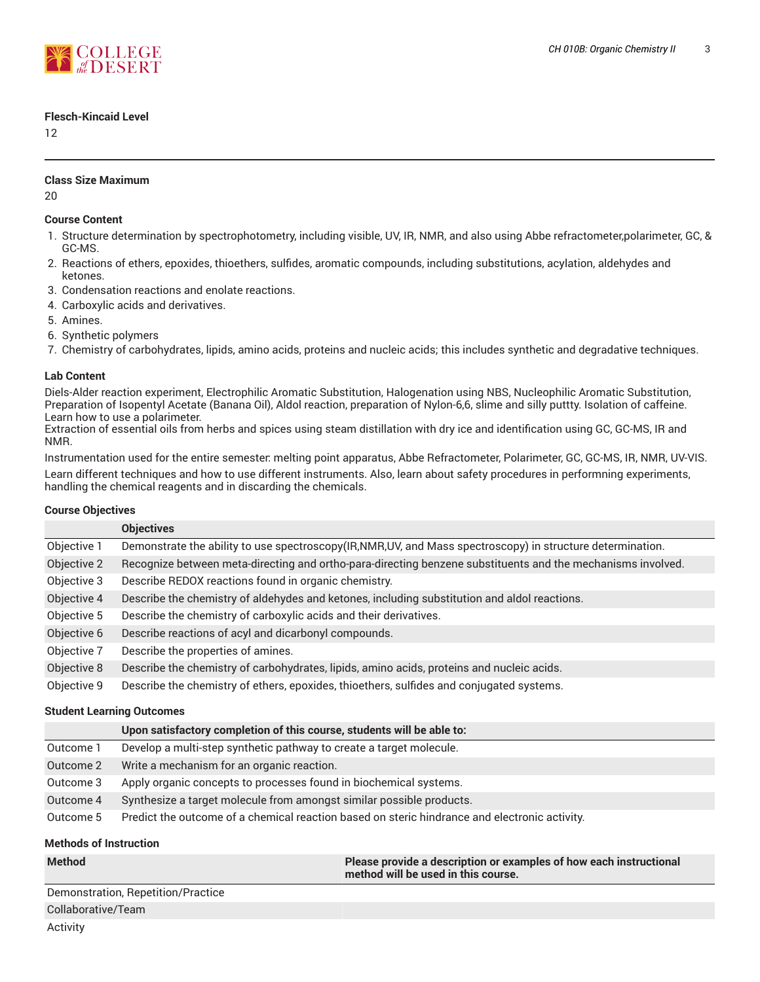

### **Flesch-Kincaid Level**

12

### **Class Size Maximum**

20

### **Course Content**

- 1. Structure determination by spectrophotometry, including visible, UV, IR, NMR, and also using Abbe refractometer,polarimeter, GC, & GC-MS.
- 2. Reactions of ethers, epoxides, thioethers, sulfides, aromatic compounds, including substitutions, acylation, aldehydes and ketones.
- 3. Condensation reactions and enolate reactions.
- 4. Carboxylic acids and derivatives.
- 5. Amines.
- 6. Synthetic polymers
- 7. Chemistry of carbohydrates, lipids, amino acids, proteins and nucleic acids; this includes synthetic and degradative techniques.

### **Lab Content**

Diels-Alder reaction experiment, Electrophilic Aromatic Substitution, Halogenation using NBS, Nucleophilic Aromatic Substitution, Preparation of Isopentyl Acetate (Banana Oil), Aldol reaction, preparation of Nylon-6,6, slime and silly puttty. Isolation of caffeine. Learn how to use a polarimeter.

Extraction of essential oils from herbs and spices using steam distillation with dry ice and identification using GC, GC-MS, IR and NMR.

Instrumentation used for the entire semester: melting point apparatus, Abbe Refractometer, Polarimeter, GC, GC-MS, IR, NMR, UV-VIS. Learn different techniques and how to use different instruments. Also, learn about safety procedures in performning experiments, handling the chemical reagents and in discarding the chemicals.

### **Course Objectives**

|             | <b>Objectives</b>                                                                                           |
|-------------|-------------------------------------------------------------------------------------------------------------|
| Objective 1 | Demonstrate the ability to use spectroscopy(IR,NMR,UV, and Mass spectroscopy) in structure determination.   |
| Objective 2 | Recognize between meta-directing and ortho-para-directing benzene substituents and the mechanisms involved. |
| Objective 3 | Describe REDOX reactions found in organic chemistry.                                                        |
| Objective 4 | Describe the chemistry of aldehydes and ketones, including substitution and aldol reactions.                |
| Objective 5 | Describe the chemistry of carboxylic acids and their derivatives.                                           |
| Objective 6 | Describe reactions of acyl and dicarbonyl compounds.                                                        |
| Objective 7 | Describe the properties of amines.                                                                          |
| Objective 8 | Describe the chemistry of carbohydrates, lipids, amino acids, proteins and nucleic acids.                   |
| Objective 9 | Describe the chemistry of ethers, epoxides, thioethers, sulfides and conjugated systems.                    |

### **Student Learning Outcomes**

|           | Upon satisfactory completion of this course, students will be able to:                        |
|-----------|-----------------------------------------------------------------------------------------------|
| Outcome 1 | Develop a multi-step synthetic pathway to create a target molecule.                           |
| Outcome 2 | Write a mechanism for an organic reaction.                                                    |
| Outcome 3 | Apply organic concepts to processes found in biochemical systems.                             |
| Outcome 4 | Synthesize a target molecule from amongst similar possible products.                          |
| Outcome 5 | Predict the outcome of a chemical reaction based on steric hindrance and electronic activity. |

### **Methods of Instruction**

| Method                             | Please provide a description or examples of how each instructional<br>$\blacksquare$ method will be used in this course. $\blacksquare$ |
|------------------------------------|-----------------------------------------------------------------------------------------------------------------------------------------|
| Demonstration, Repetition/Practice |                                                                                                                                         |

Collaborative/Team

Activity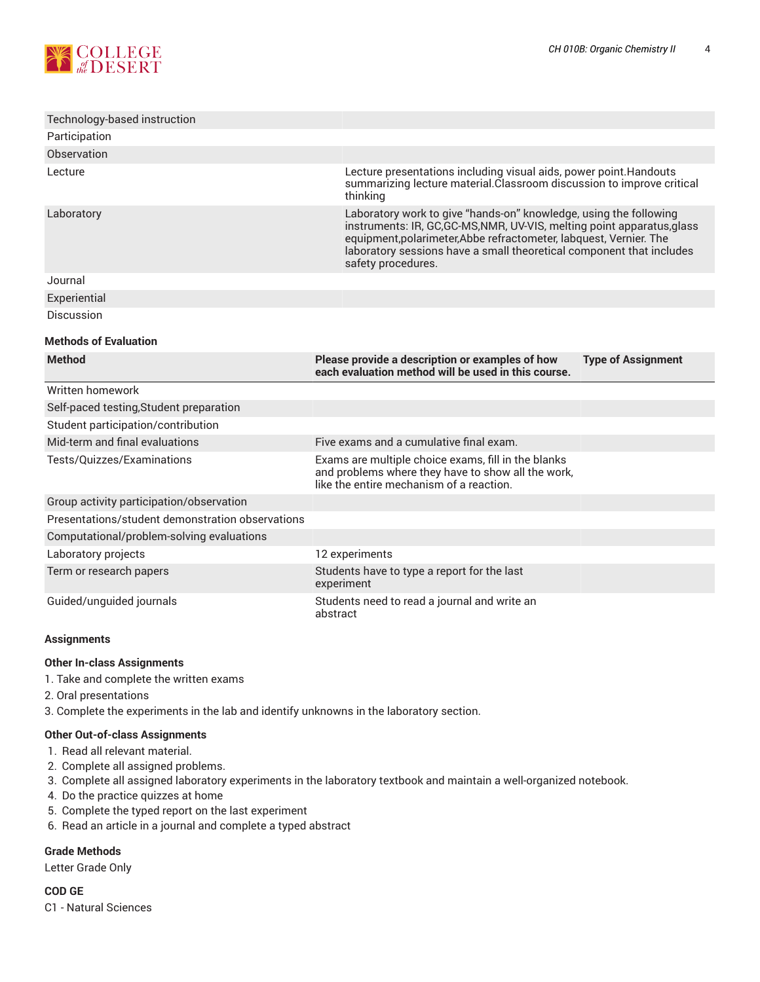

| Technology-based instruction                     |                                                                                                                                                                                                                                                                                                                  |                           |  |  |  |  |
|--------------------------------------------------|------------------------------------------------------------------------------------------------------------------------------------------------------------------------------------------------------------------------------------------------------------------------------------------------------------------|---------------------------|--|--|--|--|
| Participation                                    |                                                                                                                                                                                                                                                                                                                  |                           |  |  |  |  |
| Observation                                      |                                                                                                                                                                                                                                                                                                                  |                           |  |  |  |  |
| Lecture                                          | Lecture presentations including visual aids, power point. Handouts<br>summarizing lecture material. Classroom discussion to improve critical<br>thinking                                                                                                                                                         |                           |  |  |  |  |
| Laboratory                                       | Laboratory work to give "hands-on" knowledge, using the following<br>instruments: IR, GC, GC-MS, NMR, UV-VIS, melting point apparatus, glass<br>equipment, polarimeter, Abbe refractometer, labquest, Vernier. The<br>laboratory sessions have a small theoretical component that includes<br>safety procedures. |                           |  |  |  |  |
| Journal                                          |                                                                                                                                                                                                                                                                                                                  |                           |  |  |  |  |
| Experiential                                     |                                                                                                                                                                                                                                                                                                                  |                           |  |  |  |  |
| <b>Discussion</b>                                |                                                                                                                                                                                                                                                                                                                  |                           |  |  |  |  |
| <b>Methods of Evaluation</b>                     |                                                                                                                                                                                                                                                                                                                  |                           |  |  |  |  |
| <b>Method</b>                                    | Please provide a description or examples of how<br>each evaluation method will be used in this course.                                                                                                                                                                                                           | <b>Type of Assignment</b> |  |  |  |  |
| Written homework                                 |                                                                                                                                                                                                                                                                                                                  |                           |  |  |  |  |
| Self-paced testing, Student preparation          |                                                                                                                                                                                                                                                                                                                  |                           |  |  |  |  |
| Student participation/contribution               |                                                                                                                                                                                                                                                                                                                  |                           |  |  |  |  |
| Mid-term and final evaluations                   | Five exams and a cumulative final exam.                                                                                                                                                                                                                                                                          |                           |  |  |  |  |
| Tests/Quizzes/Examinations                       | Exams are multiple choice exams, fill in the blanks<br>and problems where they have to show all the work,<br>like the entire mechanism of a reaction.                                                                                                                                                            |                           |  |  |  |  |
| Group activity participation/observation         |                                                                                                                                                                                                                                                                                                                  |                           |  |  |  |  |
| Presentations/student demonstration observations |                                                                                                                                                                                                                                                                                                                  |                           |  |  |  |  |
| Computational/problem-solving evaluations        |                                                                                                                                                                                                                                                                                                                  |                           |  |  |  |  |
| Laboratory projects                              | 12 experiments                                                                                                                                                                                                                                                                                                   |                           |  |  |  |  |
| Term or research papers                          | Students have to type a report for the last<br>experiment                                                                                                                                                                                                                                                        |                           |  |  |  |  |
| Guided/unguided journals                         | Students need to read a journal and write an<br>abstract                                                                                                                                                                                                                                                         |                           |  |  |  |  |

### **Assignments**

### **Other In-class Assignments**

- 1. Take and complete the written exams
- 2. Oral presentations
- 3. Complete the experiments in the lab and identify unknowns in the laboratory section.

### **Other Out-of-class Assignments**

- 1. Read all relevant material.
- 2. Complete all assigned problems.
- 3. Complete all assigned laboratory experiments in the laboratory textbook and maintain a well-organized notebook.
- 4. Do the practice quizzes at home
- 5. Complete the typed report on the last experiment
- 6. Read an article in a journal and complete a typed abstract

# **Grade Methods**

Letter Grade Only

**COD GE** C1 - Natural Sciences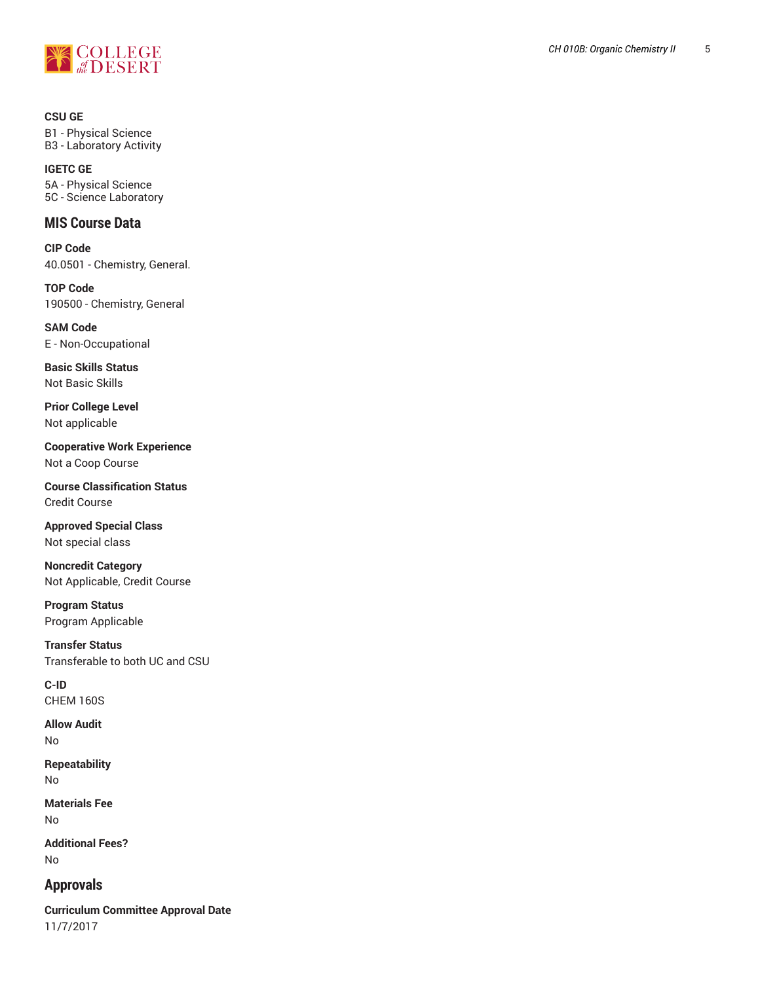

**CSU GE** B1 - Physical Science B3 - Laboratory Activit y

**IGETC GE** 5A - Physical Science 5C - Science Laboratory

# **MIS Course Data**

**CIP Code** 40.0501 - Chemistry, General.

**TOP Code** 190500 - Chemistry, General

**SAM Code** E - Non-Occupational

**Basic Skills Status** Not Basic Skills

**Prior College Level** Not applicable

**Cooperative W o r k E x p e r i e n c e** Not a Coop Course

**Course Classification Status** Credit Course

**Approved Special Class** Not special class

**Noncredit Catego r y** Not Applicable, Credit Course ,

**Program Status** Program Applica ble

**T r a n s f e r S t a t u s** Transferable to both UC and CSU

**C-ID** CHEM 160S

**Allow Audit**

No

**Repeatability** No

**Materials Fee** No

**Ad d i t i o n a l F e e s ?** No

# **Approvals**

**Curriculum Committee Approval Date** 11/7/2017